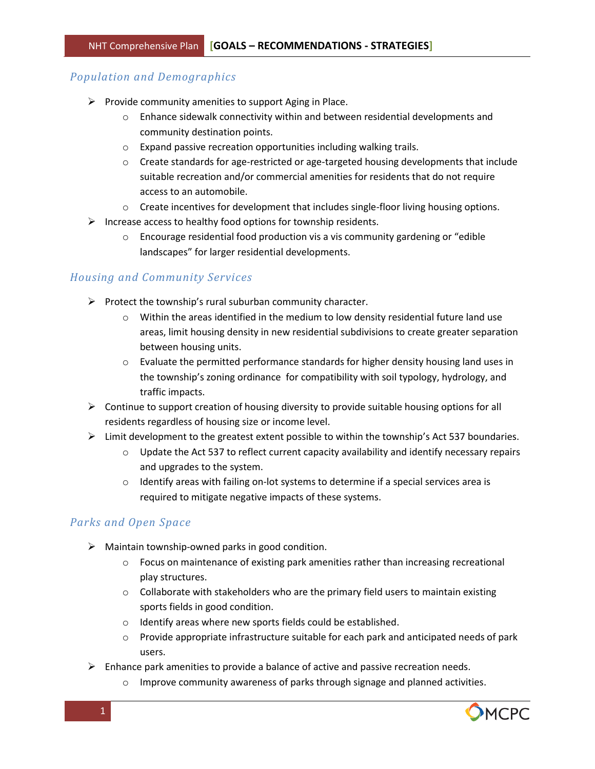# *Population and Demographics*

- $\triangleright$  Provide community amenities to support Aging in Place.
	- $\circ$  Enhance sidewalk connectivity within and between residential developments and community destination points.
	- o Expand passive recreation opportunities including walking trails.
	- $\circ$  Create standards for age-restricted or age-targeted housing developments that include suitable recreation and/or commercial amenities for residents that do not require access to an automobile.
	- o Create incentives for development that includes single-floor living housing options.
- $\triangleright$  Increase access to healthy food options for township residents.
	- o Encourage residential food production vis a vis community gardening or "edible landscapes" for larger residential developments.

## *Housing and Community Services*

- $\triangleright$  Protect the township's rural suburban community character.
	- $\circ$  Within the areas identified in the medium to low density residential future land use areas, limit housing density in new residential subdivisions to create greater separation between housing units.
	- $\circ$  Evaluate the permitted performance standards for higher density housing land uses in the township's zoning ordinance for compatibility with soil typology, hydrology, and traffic impacts.
- $\triangleright$  Continue to support creation of housing diversity to provide suitable housing options for all residents regardless of housing size or income level.
- $\triangleright$  Limit development to the greatest extent possible to within the township's Act 537 boundaries.
	- $\circ$  Update the Act 537 to reflect current capacity availability and identify necessary repairs and upgrades to the system.
	- $\circ$  Identify areas with failing on-lot systems to determine if a special services area is required to mitigate negative impacts of these systems.

## *Parks and Open Space*

- $\triangleright$  Maintain township-owned parks in good condition.
	- $\circ$  Focus on maintenance of existing park amenities rather than increasing recreational play structures.
	- $\circ$  Collaborate with stakeholders who are the primary field users to maintain existing sports fields in good condition.
	- o Identify areas where new sports fields could be established.
	- $\circ$  Provide appropriate infrastructure suitable for each park and anticipated needs of park users.
- $\triangleright$  Enhance park amenities to provide a balance of active and passive recreation needs.
	- o Improve community awareness of parks through signage and planned activities.

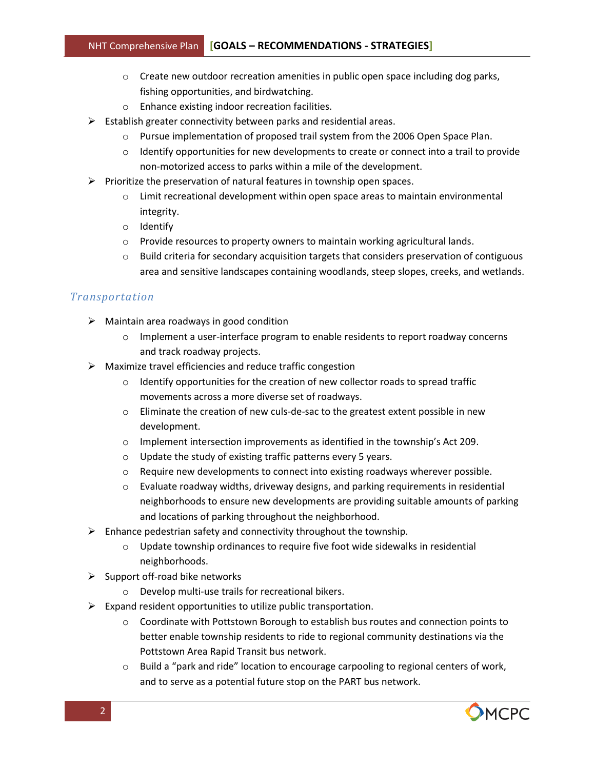- $\circ$  Create new outdoor recreation amenities in public open space including dog parks, fishing opportunities, and birdwatching.
- o Enhance existing indoor recreation facilities.
- $\triangleright$  Establish greater connectivity between parks and residential areas.
	- o Pursue implementation of proposed trail system from the 2006 Open Space Plan.
	- $\circ$  Identify opportunities for new developments to create or connect into a trail to provide non-motorized access to parks within a mile of the development.
- $\triangleright$  Prioritize the preservation of natural features in township open spaces.
	- $\circ$  Limit recreational development within open space areas to maintain environmental integrity.
	- o Identify
	- o Provide resources to property owners to maintain working agricultural lands.
	- $\circ$  Build criteria for secondary acquisition targets that considers preservation of contiguous area and sensitive landscapes containing woodlands, steep slopes, creeks, and wetlands.

## *Transportation*

- $\triangleright$  Maintain area roadways in good condition
	- $\circ$  Implement a user-interface program to enable residents to report roadway concerns and track roadway projects.
- $\triangleright$  Maximize travel efficiencies and reduce traffic congestion
	- $\circ$  Identify opportunities for the creation of new collector roads to spread traffic movements across a more diverse set of roadways.
	- $\circ$  Eliminate the creation of new culs-de-sac to the greatest extent possible in new development.
	- o Implement intersection improvements as identified in the township's Act 209.
	- o Update the study of existing traffic patterns every 5 years.
	- $\circ$  Require new developments to connect into existing roadways wherever possible.
	- $\circ$  Evaluate roadway widths, driveway designs, and parking requirements in residential neighborhoods to ensure new developments are providing suitable amounts of parking and locations of parking throughout the neighborhood.
- $\triangleright$  Enhance pedestrian safety and connectivity throughout the township.
	- o Update township ordinances to require five foot wide sidewalks in residential neighborhoods.
- $\triangleright$  Support off-road bike networks
	- o Develop multi-use trails for recreational bikers.
- $\triangleright$  Expand resident opportunities to utilize public transportation.
	- o Coordinate with Pottstown Borough to establish bus routes and connection points to better enable township residents to ride to regional community destinations via the Pottstown Area Rapid Transit bus network.
	- o Build a "park and ride" location to encourage carpooling to regional centers of work, and to serve as a potential future stop on the PART bus network.

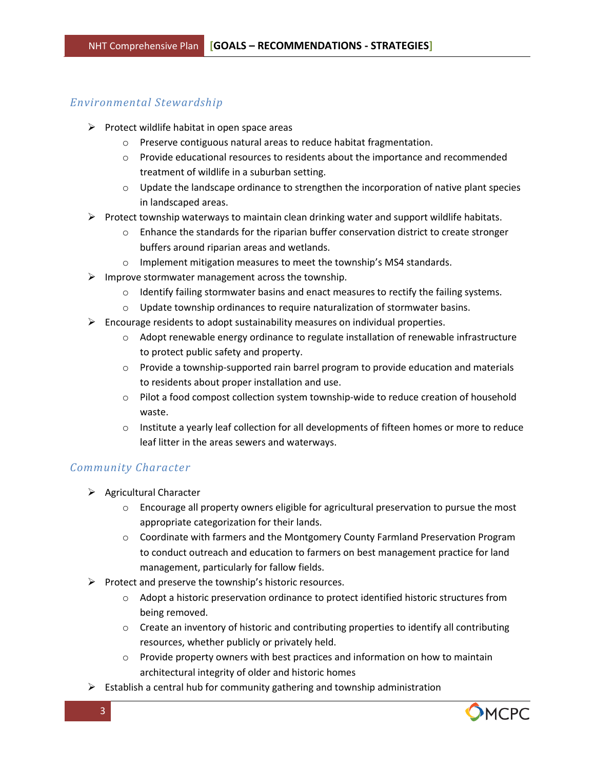### *Environmental Stewardship*

- $\triangleright$  Protect wildlife habitat in open space areas
	- o Preserve contiguous natural areas to reduce habitat fragmentation.
	- $\circ$  Provide educational resources to residents about the importance and recommended treatment of wildlife in a suburban setting.
	- $\circ$  Update the landscape ordinance to strengthen the incorporation of native plant species in landscaped areas.
- $\triangleright$  Protect township waterways to maintain clean drinking water and support wildlife habitats.
	- o Enhance the standards for the riparian buffer conservation district to create stronger buffers around riparian areas and wetlands.
	- o Implement mitigation measures to meet the township's MS4 standards.
- $\triangleright$  Improve stormwater management across the township.
	- $\circ$  Identify failing stormwater basins and enact measures to rectify the failing systems.
	- $\circ$  Update township ordinances to require naturalization of stormwater basins.
- $\triangleright$  Encourage residents to adopt sustainability measures on individual properties.
	- o Adopt renewable energy ordinance to regulate installation of renewable infrastructure to protect public safety and property.
	- $\circ$  Provide a township-supported rain barrel program to provide education and materials to residents about proper installation and use.
	- $\circ$  Pilot a food compost collection system township-wide to reduce creation of household waste.
	- $\circ$  Institute a yearly leaf collection for all developments of fifteen homes or more to reduce leaf litter in the areas sewers and waterways.

#### *Community Character*

- $\triangleright$  Agricultural Character
	- $\circ$  Encourage all property owners eligible for agricultural preservation to pursue the most appropriate categorization for their lands.
	- o Coordinate with farmers and the Montgomery County Farmland Preservation Program to conduct outreach and education to farmers on best management practice for land management, particularly for fallow fields.
- $\triangleright$  Protect and preserve the township's historic resources.
	- o Adopt a historic preservation ordinance to protect identified historic structures from being removed.
	- $\circ$  Create an inventory of historic and contributing properties to identify all contributing resources, whether publicly or privately held.
	- $\circ$  Provide property owners with best practices and information on how to maintain architectural integrity of older and historic homes
- $\triangleright$  Establish a central hub for community gathering and township administration